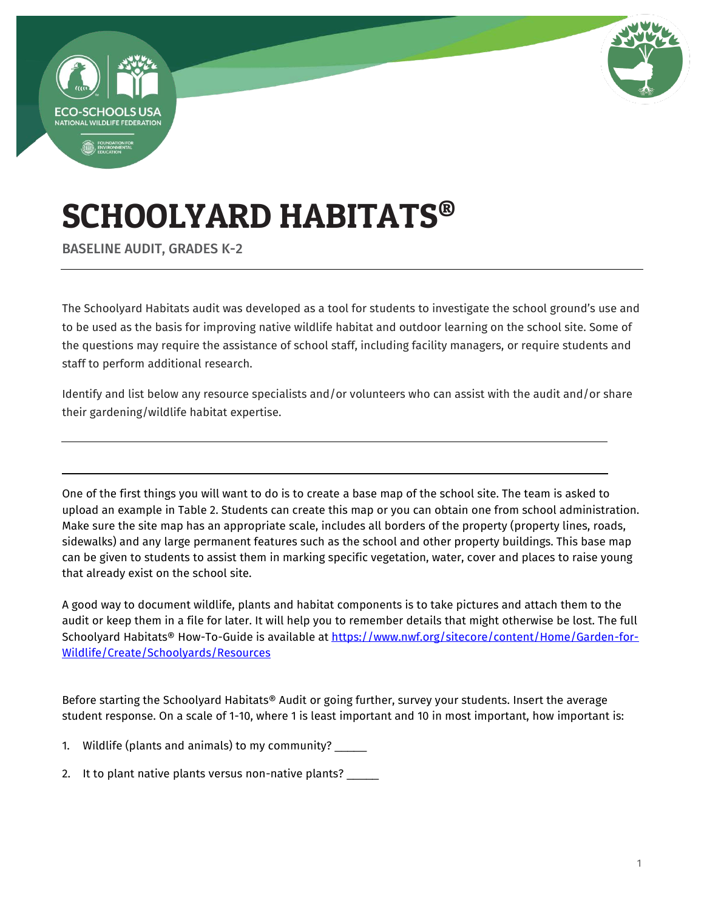



# SCHOOLYARD HABITATS®

BASELINE AUDIT, GRADES K-2

The Schoolyard Habitats audit was developed as a tool for students to investigate the school ground's use and to be used as the basis for improving native wildlife habitat and outdoor learning on the school site. Some of the questions may require the assistance of school staff, including facility managers, or require students and staff to perform additional research.

Identify and list below any resource specialists and/or volunteers who can assist with the audit and/or share their gardening/wildlife habitat expertise.

One of the first things you will want to do is to create a base map of the school site. The team is asked to upload an example in Table 2. Students can create this map or you can obtain one from school administration. Make sure the site map has an appropriate scale, includes all borders of the property (property lines, roads, sidewalks) and any large permanent features such as the school and other property buildings. This base map can be given to students to assist them in marking specific vegetation, water, cover and places to raise young that already exist on the school site.

A good way to document wildlife, plants and habitat components is to take pictures and attach them to the audit or keep them in a file for later. It will help you to remember details that might otherwise be lost. The full Schoolyard Habitats® How-To-Guide is available at [https://www.nwf.org/sitecore/content/Home/Garden-for-](https://www.nwf.org/sitecore/content/Home/Garden-for-Wildlife/Create/Schoolyards/Resources)[Wildlife/Create/Schoolyards/Resources](https://www.nwf.org/sitecore/content/Home/Garden-for-Wildlife/Create/Schoolyards/Resources) 

Before starting the Schoolyard Habitats® Audit or going further, survey your students. Insert the average student response. On a scale of 1-10, where 1 is least important and 10 in most important, how important is:

- 1. Wildlife (plants and animals) to my community? \_\_\_\_\_
- 2. It to plant native plants versus non-native plants?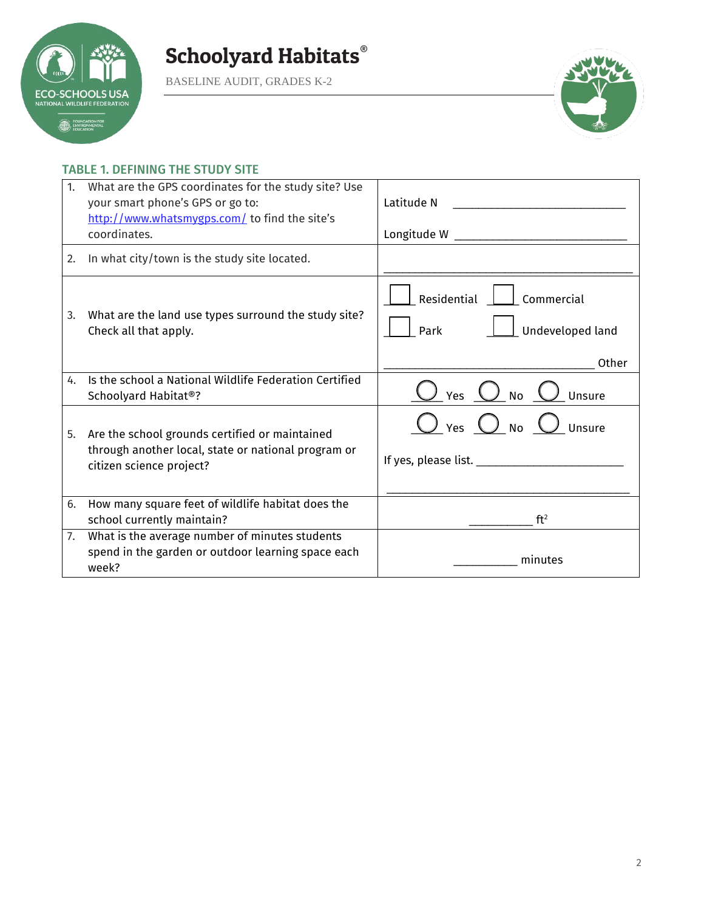

BASELINE AUDIT, GRADES K-2



#### TABLE 1. DEFINING THE STUDY SITE

| 1. | What are the GPS coordinates for the study site? Use<br>your smart phone's GPS or go to:<br>http://www.whatsmygps.com/ to find the site's<br>coordinates. | Latitude N                                                     |
|----|-----------------------------------------------------------------------------------------------------------------------------------------------------------|----------------------------------------------------------------|
| 2. | In what city/town is the study site located.                                                                                                              |                                                                |
| 3. | What are the land use types surround the study site?<br>Check all that apply.                                                                             | Residential<br>Commercial<br>Park<br>Undeveloped land<br>Other |
| 4. | Is the school a National Wildlife Federation Certified<br>Schoolyard Habitat®?                                                                            | $\bigcup$ Yes $\bigcup$ No $\bigcup$ Unsure                    |
| 5. | Are the school grounds certified or maintained<br>through another local, state or national program or<br>citizen science project?                         | $\bigcirc$ Yes $\bigcirc$ No $\bigcirc$ Unsure                 |
| 6. | How many square feet of wildlife habitat does the<br>school currently maintain?                                                                           | ft <sup>2</sup>                                                |
| 7. | What is the average number of minutes students<br>spend in the garden or outdoor learning space each<br>week?                                             | minutes                                                        |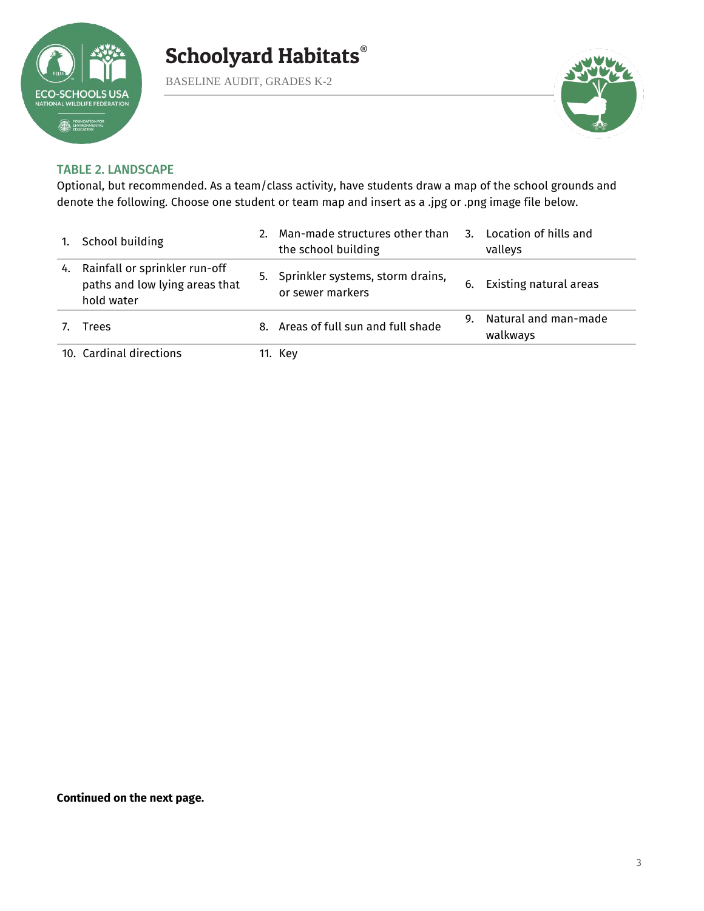

BASELINE AUDIT, GRADES K-2



#### TABLE 2. LANDSCAPE

Optional, but recommended. As a team/class activity, have students draw a map of the school grounds and denote the following. Choose one student or team map and insert as a .jpg or .png image file below.

| 1. | School building                                                               |    | Man-made structures other than<br>the school building   | $\mathbf{3}$ . | Location of hills and<br>valleys |
|----|-------------------------------------------------------------------------------|----|---------------------------------------------------------|----------------|----------------------------------|
| 4. | Rainfall or sprinkler run-off<br>paths and low lying areas that<br>hold water |    | 5. Sprinkler systems, storm drains,<br>or sewer markers | 6.             | Existing natural areas           |
|    | Trees                                                                         | 8. | Areas of full sun and full shade                        | 9.             | Natural and man-made<br>walkways |
|    | 10. Cardinal directions                                                       |    | 11. Kev                                                 |                |                                  |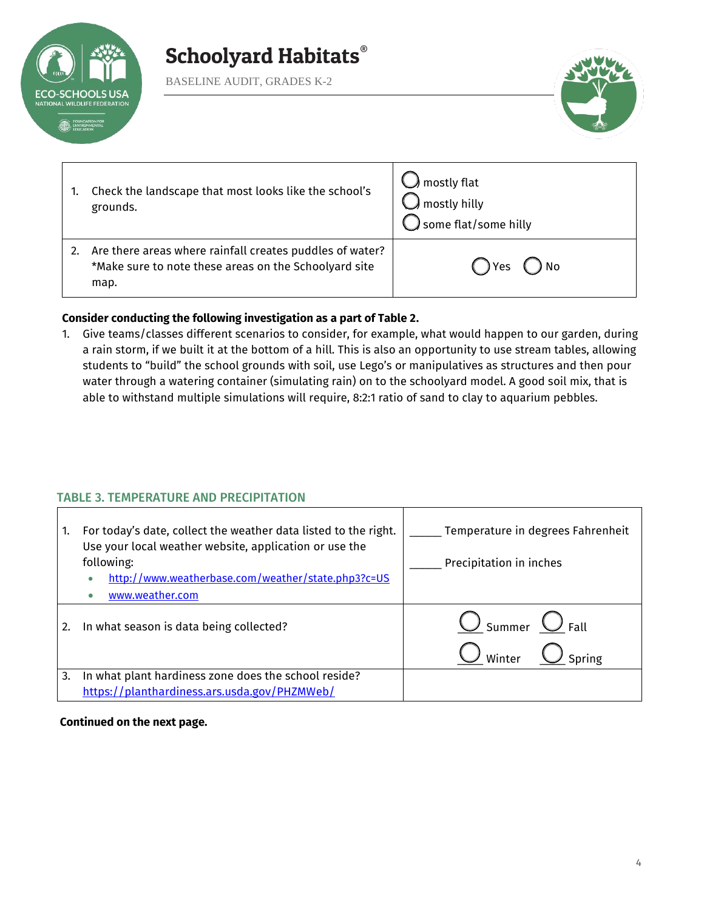

BASELINE AUDIT, GRADES K-2



| Check the landscape that most looks like the school's<br>grounds.                                                         | $\bigcup$ mostly flat<br>$\bigcap$ mostly hilly<br>$\bigcirc$ some flat/some hilly |
|---------------------------------------------------------------------------------------------------------------------------|------------------------------------------------------------------------------------|
| Are there areas where rainfall creates puddles of water?<br>*Make sure to note these areas on the Schoolyard site<br>map. | Yes<br>) No                                                                        |

#### **Consider conducting the following investigation as a part of Table 2.**

1. Give teams/classes different scenarios to consider, for example, what would happen to our garden, during a rain storm, if we built it at the bottom of a hill. This is also an opportunity to use stream tables, allowing students to "build" the school grounds with soil, use Lego's or manipulatives as structures and then pour water through a watering container (simulating rain) on to the schoolyard model. A good soil mix, that is able to withstand multiple simulations will require, 8:2:1 ratio of sand to clay to aquarium pebbles.

#### TABLE 3. TEMPERATURE AND PRECIPITATION

| 1. | For today's date, collect the weather data listed to the right.<br>Use your local weather website, application or use the<br>following:<br>http://www.weatherbase.com/weather/state.php3?c=US<br>۰<br>www.weather.com | Temperature in degrees Fahrenheit<br>Precipitation in inches |
|----|-----------------------------------------------------------------------------------------------------------------------------------------------------------------------------------------------------------------------|--------------------------------------------------------------|
| 2. | In what season is data being collected?                                                                                                                                                                               | $\bigcup$ Summer $\bigcup$ Fall<br>Spring<br>Winter          |
| 3. | In what plant hardiness zone does the school reside?<br>https://planthardiness.ars.usda.gov/PHZMWeb/                                                                                                                  |                                                              |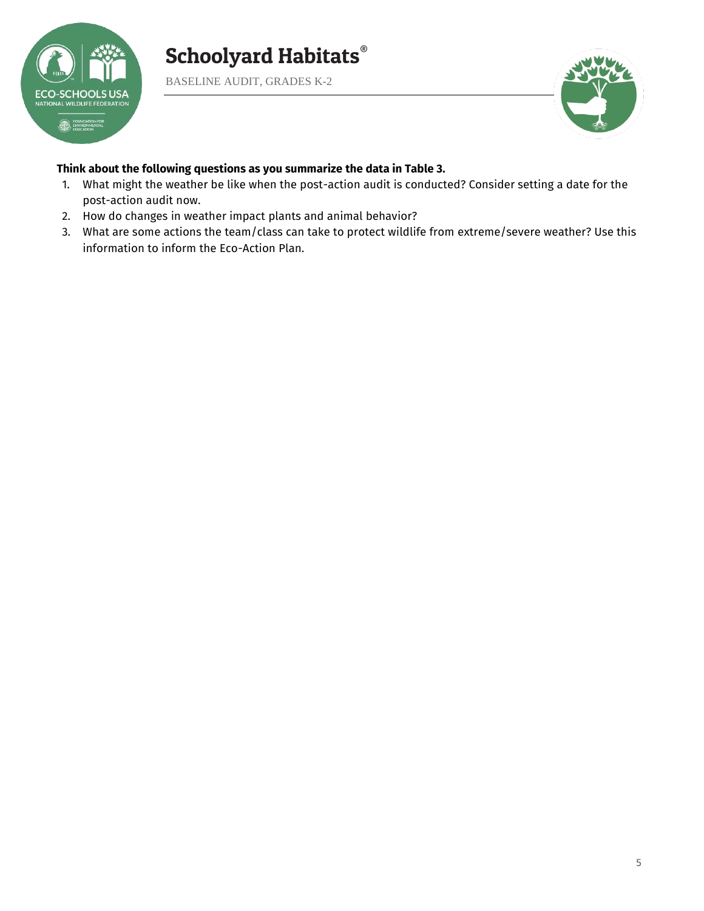

BASELINE AUDIT, GRADES K-2



#### **Think about the following questions as you summarize the data in Table 3.**

- 1. What might the weather be like when the post-action audit is conducted? Consider setting a date for the post-action audit now.
- 2. How do changes in weather impact plants and animal behavior?
- 3. What are some actions the team/class can take to protect wildlife from extreme/severe weather? Use this information to inform the Eco-Action Plan.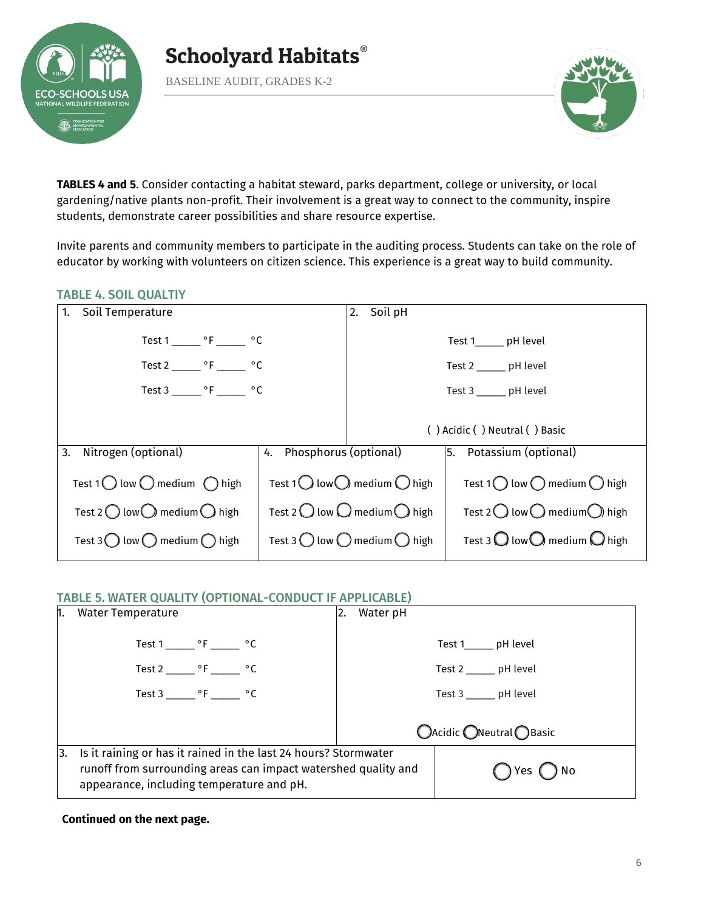

BASELINE AUDIT, GRADES K-2



**TABLES 4 and 5**. Consider contacting a habitat steward, parks department, college or university, or local gardening/native plants non-profit. Their involvement is a great way to connect to the community, inspire students, demonstrate career possibilities and share resource expertise.

Invite parents and community members to participate in the auditing process. Students can take on the role of educator by working with volunteers on citizen science. This experience is a great way to build community.

#### TABLE 4. SOIL QUALTIY

| Soil Temperature<br>1.                                                                                                                                                        |  | 2. Soil pH                                                                                                                                                                    |                                                                                                                                                                               |
|-------------------------------------------------------------------------------------------------------------------------------------------------------------------------------|--|-------------------------------------------------------------------------------------------------------------------------------------------------------------------------------|-------------------------------------------------------------------------------------------------------------------------------------------------------------------------------|
| Test $1 \_ {\text{C}}$ °F $\_ {\text{C}}$                                                                                                                                     |  |                                                                                                                                                                               | Test 1_______ pH level                                                                                                                                                        |
| Test 2 _______ $\circ$ F _______ $\circ$ C                                                                                                                                    |  |                                                                                                                                                                               | Test 2 ______ pH level                                                                                                                                                        |
| Test 3 _______ $\circ$ F _______ $\circ$ C                                                                                                                                    |  |                                                                                                                                                                               | Test 3 ______ pH level                                                                                                                                                        |
|                                                                                                                                                                               |  |                                                                                                                                                                               | () Acidic () Neutral () Basic                                                                                                                                                 |
| 3.<br>Nitrogen (optional)<br>4. Phosphorus (optional)                                                                                                                         |  |                                                                                                                                                                               | 5. Potassium (optional)                                                                                                                                                       |
| Test 1 $\bigcirc$ low $\bigcirc$ medium $\bigcirc$ high<br>Test 2 $\bigcirc$ low $\bigcirc$ medium $\bigcirc$ high<br>Test 3 $\bigcirc$ low $\bigcirc$ medium $\bigcirc$ high |  | Test 1 $\bigcirc$ low $\bigcirc$ medium $\bigcirc$ high<br>Test 2 $\bigcirc$ low $\bigcirc$ medium $\bigcirc$ high<br>Test 3 $\bigcirc$ low $\bigcirc$ medium $\bigcirc$ high | Test 1 $\bigcirc$ low $\bigcirc$ medium $\bigcirc$ high<br>Test 2 $\bigcirc$ low $\bigcirc$ medium $\bigcirc$ high<br>Test 3 $\bigcirc$ low $\bigcirc$ medium $\bigcirc$ high |
|                                                                                                                                                                               |  |                                                                                                                                                                               |                                                                                                                                                                               |

#### TABLE 5. WATER QUALITY (OPTIONAL-CONDUCT IF APPLICABLE)

| h.  | <b>Water Temperature</b>                                                                                                                                                       | 2. | Water pH |                          |
|-----|--------------------------------------------------------------------------------------------------------------------------------------------------------------------------------|----|----------|--------------------------|
|     | Test 1 ________ $\circ$ F ________ $\circ$ C                                                                                                                                   |    |          | Test 1______ pH level    |
|     | Test 2 _______ $\circ$ F ______ $\circ$ C                                                                                                                                      |    |          | Test 2 _______ pH level  |
|     | Test 3 _______ $\circ$ F _______ $\circ$ C                                                                                                                                     |    |          | Test 3 _______ pH level  |
|     |                                                                                                                                                                                |    |          | ○Acidic ○Neutral ● Basic |
| Ι3. | Is it raining or has it rained in the last 24 hours? Stormwater<br>runoff from surrounding areas can impact watershed quality and<br>appearance, including temperature and pH. |    |          | No<br>1Yes'              |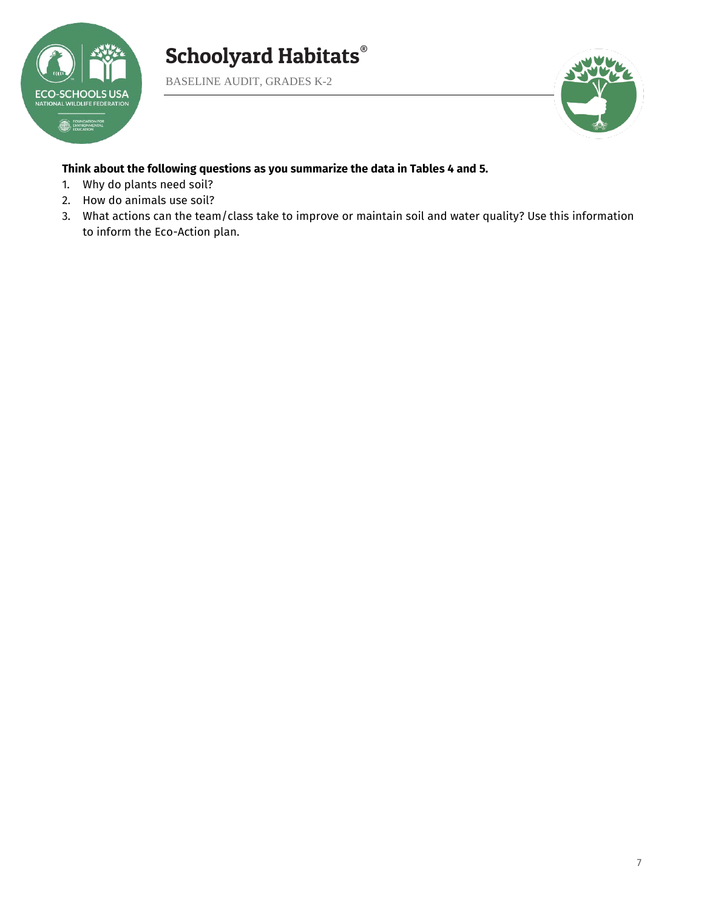

BASELINE AUDIT, GRADES K-2



#### **Think about the following questions as you summarize the data in Tables 4 and 5.**

- 1. Why do plants need soil?
- 2. How do animals use soil?
- 3. What actions can the team/class take to improve or maintain soil and water quality? Use this information to inform the Eco-Action plan.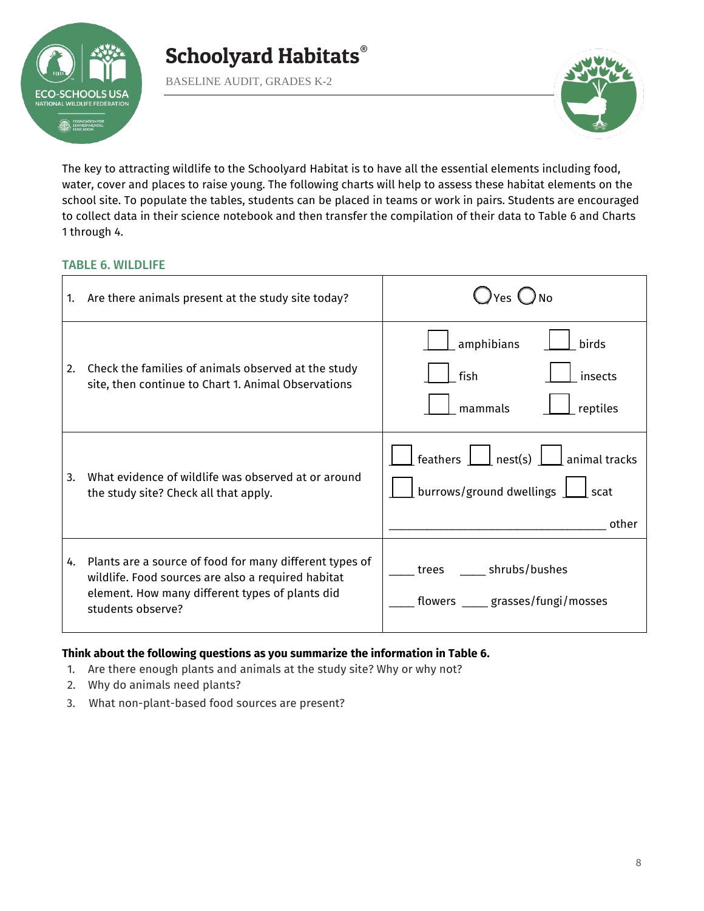

BASELINE AUDIT, GRADES K-2



The key to attracting wildlife to the Schoolyard Habitat is to have all the essential elements including food, water, cover and places to raise young. The following charts will help to assess these habitat elements on the school site. To populate the tables, students can be placed in teams or work in pairs. Students are encouraged to collect data in their science notebook and then transfer the compilation of their data to Table 6 and Charts 1 through 4.

#### TABLE 6. WILDLIFE

| 1. | Are there animals present at the study site today?                                                                                                                                    | Yes (                                                                                                                                                          |
|----|---------------------------------------------------------------------------------------------------------------------------------------------------------------------------------------|----------------------------------------------------------------------------------------------------------------------------------------------------------------|
| 2. | Check the families of animals observed at the study<br>site, then continue to Chart 1. Animal Observations                                                                            | amphibians<br>birds<br>fish<br>insects<br>reptiles<br>mammals                                                                                                  |
| 3. | What evidence of wildlife was observed at or around<br>the study site? Check all that apply.                                                                                          | feathers $\boxed{\phantom{a}}$ nest(s) $\boxed{\phantom{a}}$ animal tracks<br>burrows/ground dwellings $\vert$<br>$\mathsf{\mathsf{\mathsf{I}}}$ scat<br>other |
| 4. | Plants are a source of food for many different types of<br>wildlife. Food sources are also a required habitat<br>element. How many different types of plants did<br>students observe? | shrubs/bushes<br>trees<br>flowers _____ grasses/fungi/mosses                                                                                                   |

#### **Think about the following questions as you summarize the information in Table 6.**

- 1. Are there enough plants and animals at the study site? Why or why not?
- 2. Why do animals need plants?
- 3. What non-plant-based food sources are present?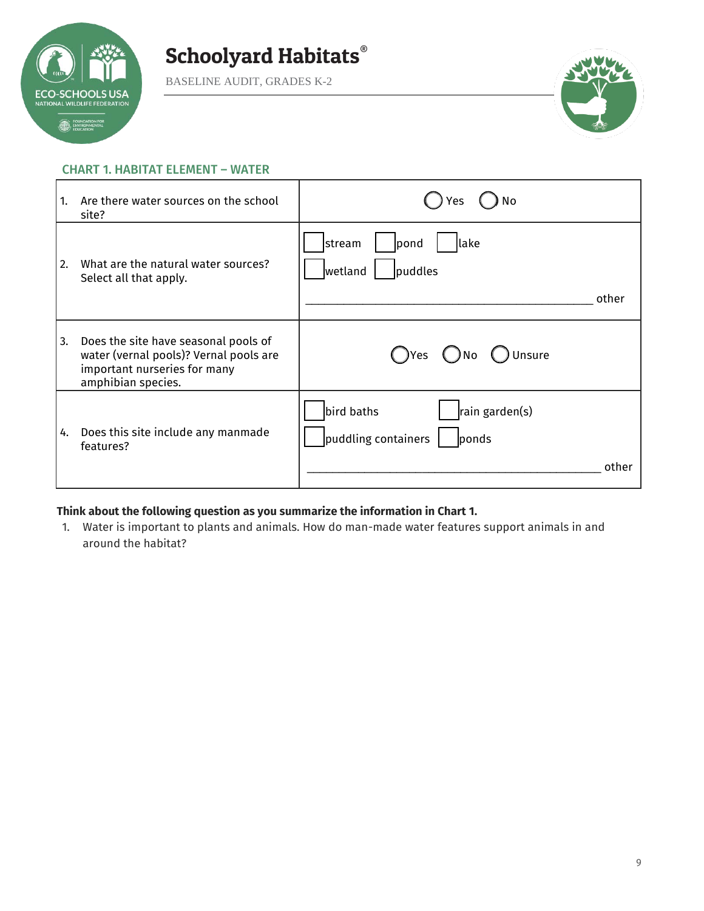

BASELINE AUDIT, GRADES K-2



#### CHART 1. HABITAT ELEMENT – WATER

| 1. | Are there water sources on the school<br>site?                                                                                       | No<br>Yes                                                             |
|----|--------------------------------------------------------------------------------------------------------------------------------------|-----------------------------------------------------------------------|
| 2. | What are the natural water sources?<br>Select all that apply.                                                                        | lake<br> stream<br>pond<br>puddles<br>wetland<br>other                |
| 3. | Does the site have seasonal pools of<br>water (vernal pools)? Vernal pools are<br>important nurseries for many<br>amphibian species. | Unsure<br>( Yes<br>. ) No                                             |
| 4. | Does this site include any manmade<br>features?                                                                                      | bird baths<br>rain garden(s)<br>puddling containers<br>ponds<br>other |

#### **Think about the following question as you summarize the information in Chart 1.**

1. Water is important to plants and animals. How do man-made water features support animals in and around the habitat?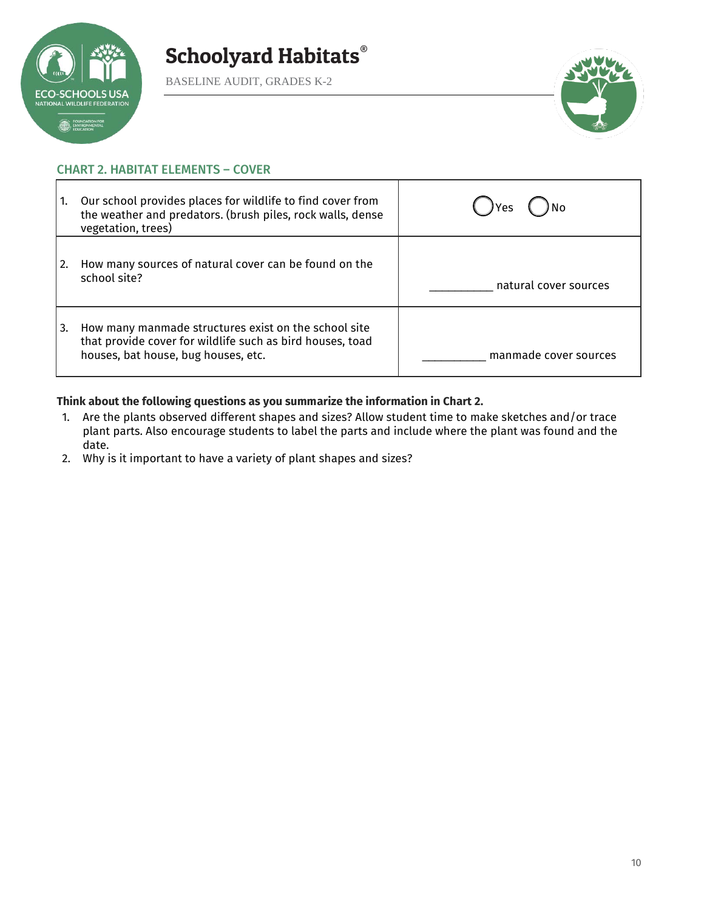

BASELINE AUDIT, GRADES K-2



#### CHART 2. HABITAT ELEMENTS – COVER

| 1. | Our school provides places for wildlife to find cover from<br>the weather and predators. (brush piles, rock walls, dense<br>vegetation, trees)           | ) No<br><b>IYes</b>   |
|----|----------------------------------------------------------------------------------------------------------------------------------------------------------|-----------------------|
|    | How many sources of natural cover can be found on the<br>school site?                                                                                    | natural cover sources |
| 3. | How many manmade structures exist on the school site<br>that provide cover for wildlife such as bird houses, toad<br>houses, bat house, bug houses, etc. | manmade cover sources |

#### **Think about the following questions as you summarize the information in Chart 2.**

- 1. Are the plants observed different shapes and sizes? Allow student time to make sketches and/or trace plant parts. Also encourage students to label the parts and include where the plant was found and the date.
- 2. Why is it important to have a variety of plant shapes and sizes?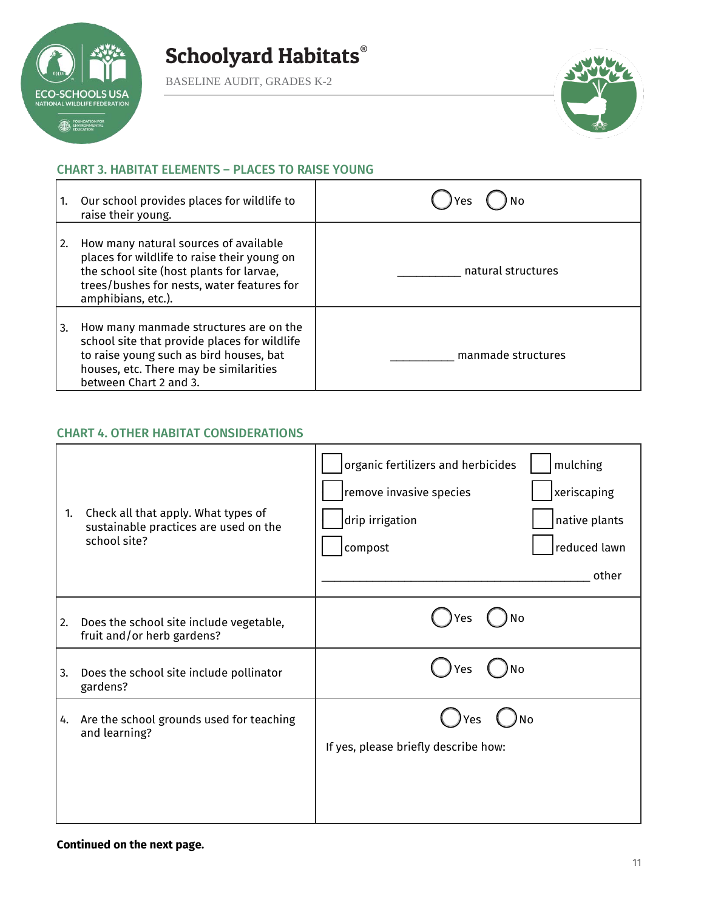

BASELINE AUDIT, GRADES K-2



#### CHART 3. HABITAT ELEMENTS – PLACES TO RAISE YOUNG

|    | Our school provides places for wildlife to<br>raise their young.                                                                                                                                      | Yes                |
|----|-------------------------------------------------------------------------------------------------------------------------------------------------------------------------------------------------------|--------------------|
| 2. | How many natural sources of available<br>places for wildlife to raise their young on<br>the school site (host plants for larvae,<br>trees/bushes for nests, water features for<br>amphibians, etc.).  | natural structures |
| 3. | How many manmade structures are on the<br>school site that provide places for wildlife<br>to raise young such as bird houses, bat<br>houses, etc. There may be similarities<br>between Chart 2 and 3. | manmade structures |

#### CHART 4. OTHER HABITAT CONSIDERATIONS

| 1. | Check all that apply. What types of<br>sustainable practices are used on the<br>school site? | organic fertilizers and herbicides<br>mulching<br>remove invasive species<br>xeriscaping<br>drip irrigation<br>native plants<br>reduced lawn<br>compost<br>other |
|----|----------------------------------------------------------------------------------------------|------------------------------------------------------------------------------------------------------------------------------------------------------------------|
| 2. | Does the school site include vegetable,<br>fruit and/or herb gardens?                        | No<br>Yes                                                                                                                                                        |
| 3. | Does the school site include pollinator<br>gardens?                                          | No<br>Yes                                                                                                                                                        |
| 4. | Are the school grounds used for teaching<br>and learning?                                    | No<br>If yes, please briefly describe how:                                                                                                                       |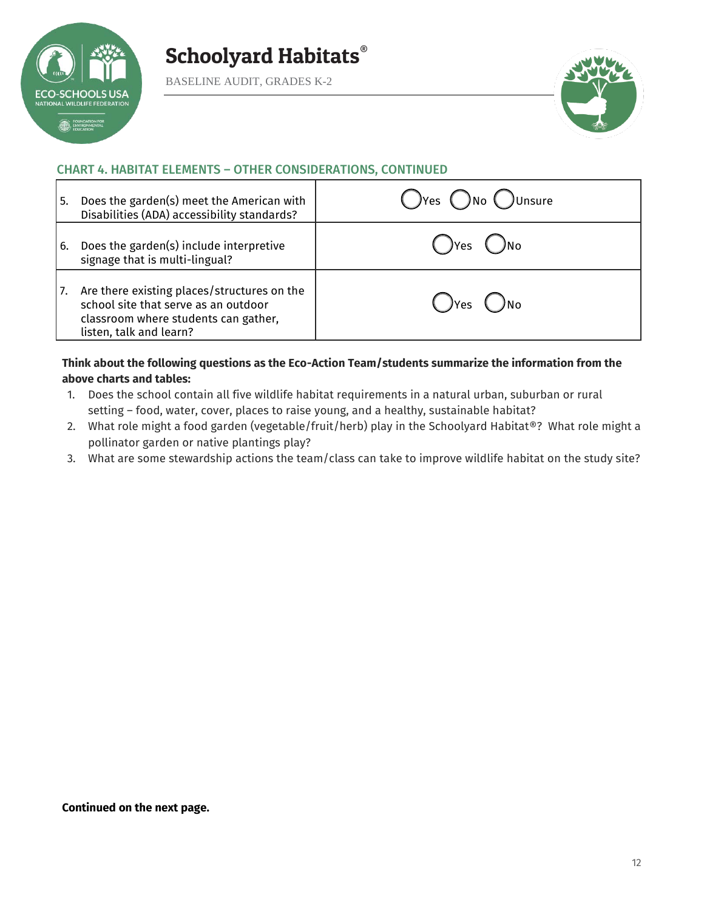

BASELINE AUDIT, GRADES K-2



#### CHART 4. HABITAT ELEMENTS – OTHER CONSIDERATIONS, CONTINUED

| l 5. | Does the garden(s) meet the American with<br>Disabilities (ADA) accessibility standards?                                                               | $\bigcap$ Yes $\bigcap$ No $\bigcap$ Unsure |
|------|--------------------------------------------------------------------------------------------------------------------------------------------------------|---------------------------------------------|
| l 6. | Does the garden(s) include interpretive<br>signage that is multi-lingual?                                                                              | JYes                                        |
| 17.  | Are there existing places/structures on the<br>school site that serve as an outdoor<br>classroom where students can gather,<br>listen, talk and learn? | JYes                                        |

#### **Think about the following questions as the Eco-Action Team/students summarize the information from the above charts and tables:**

- 1. Does the school contain all five wildlife habitat requirements in a natural urban, suburban or rural setting – food, water, cover, places to raise young, and a healthy, sustainable habitat?
- 2. What role might a food garden (vegetable/fruit/herb) play in the Schoolyard Habitat®? What role might a pollinator garden or native plantings play?
- 3. What are some stewardship actions the team/class can take to improve wildlife habitat on the study site?